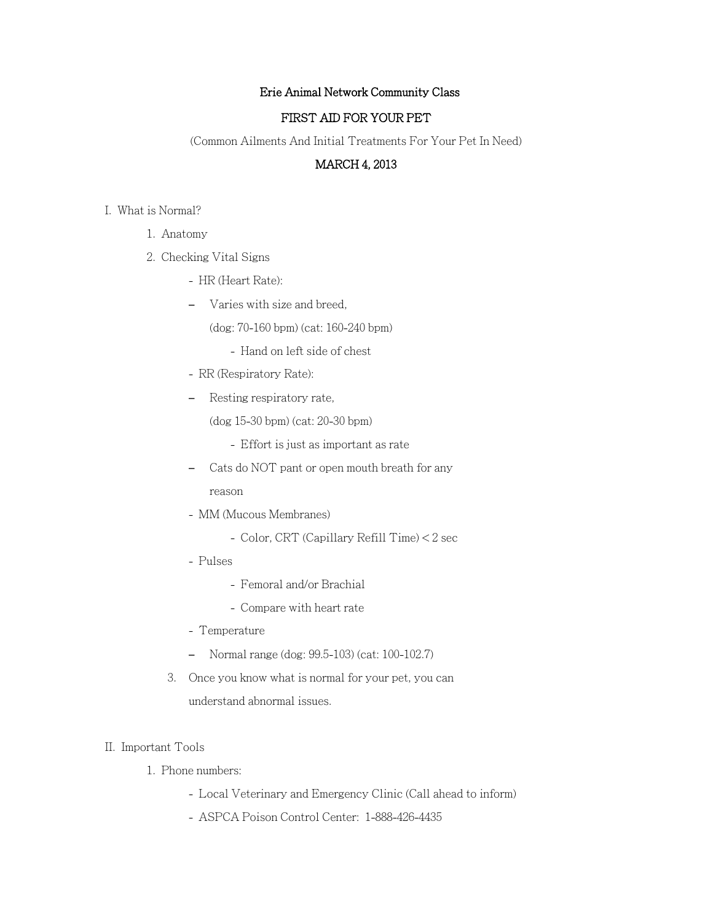# Erie Animal Network Community Class

## FIRST AID FOR YOUR PET

(Common Ailments And Initial Treatments For Your Pet In Need)

# MARCH 4, 2013

- I. What is Normal?
	- 1. Anatomy
	- 2. Checking Vital Signs
		- HR (Heart Rate):
		- Varies with size and breed,
			- (dog: 70-160 bpm) (cat: 160-240 bpm)
				- Hand on left side of chest
		- RR (Respiratory Rate):
		- Resting respiratory rate,

(dog 15-30 bpm) (cat: 20-30 bpm)

- Effort is just as important as rate
- Cats do NOT pant or open mouth breath for any reason
- MM (Mucous Membranes)
	- Color, CRT (Capillary Refill Time) < 2 sec
- Pulses
	- Femoral and/or Brachial
	- Compare with heart rate
- Temperature
- Normal range (dog: 99.5-103) (cat: 100-102.7)
- 3. Once you know what is normal for your pet, you can understand abnormal issues.

# II. Important Tools

- 1. Phone numbers:
	- Local Veterinary and Emergency Clinic (Call ahead to inform)
	- ASPCA Poison Control Center: 1-888-426-4435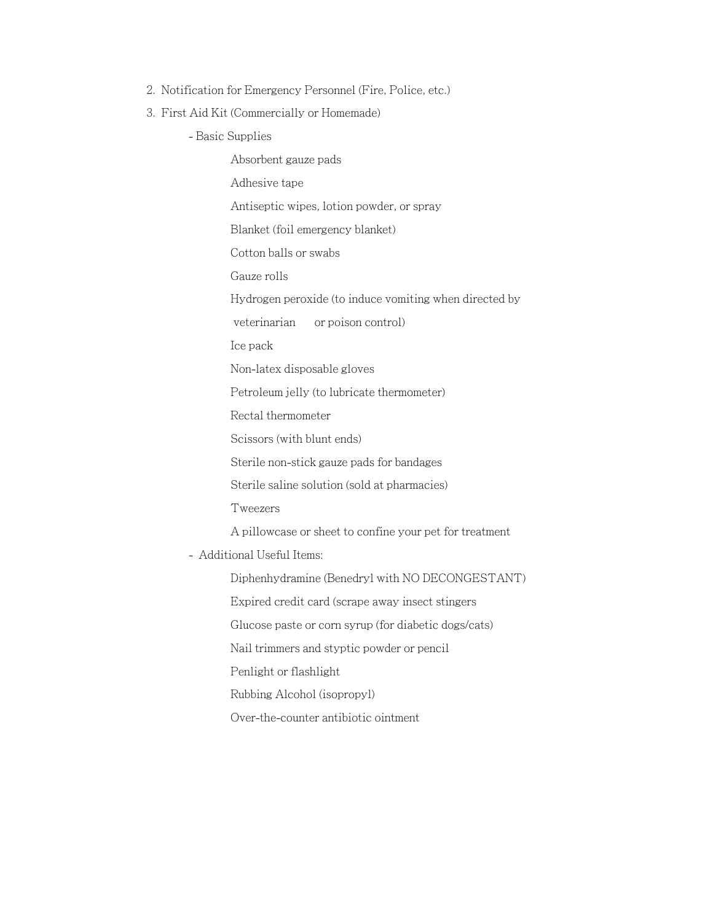- 2. Notification for Emergency Personnel (Fire, Police, etc.)
- 3. First Aid Kit (Commercially or Homemade)
	- Basic Supplies

Absorbent gauze pads Adhesive tape Antiseptic wipes, lotion powder, or spray Blanket (foil emergency blanket) Cotton balls or swabs Gauze rolls Hydrogen peroxide (to induce vomiting when directed by veterinarian or poison control) Ice pack Non-latex disposable gloves Petroleum jelly (to lubricate thermometer) Rectal thermometer Scissors (with blunt ends) Sterile non-stick gauze pads for bandages Sterile saline solution (sold at pharmacies) Tweezers A pillowcase or sheet to confine your pet for treatment - Additional Useful Items: Diphenhydramine (Benedryl with NO DECONGESTANT) Expired credit card (scrape away insect stingers Glucose paste or corn syrup (for diabetic dogs/cats) Nail trimmers and styptic powder or pencil Penlight or flashlight Rubbing Alcohol (isopropyl)

Over-the-counter antibiotic ointment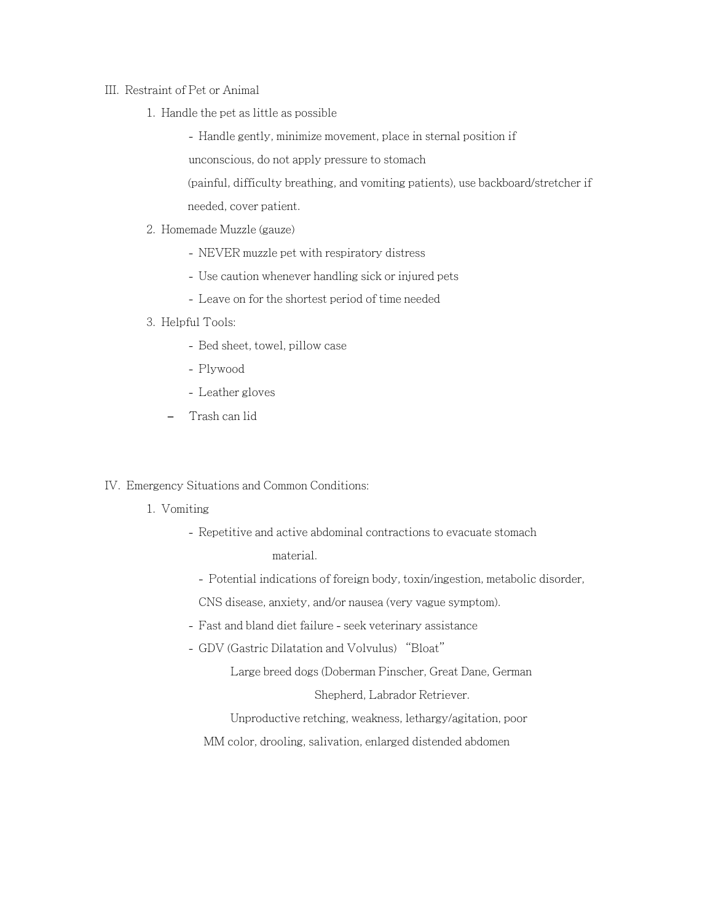### III. Restraint of Pet or Animal

1. Handle the pet as little as possible

- Handle gently, minimize movement, place in sternal position if

unconscious, do not apply pressure to stomach

(painful, difficulty breathing, and vomiting patients), use backboard/stretcher if needed, cover patient.

## 2. Homemade Muzzle (gauze)

- NEVER muzzle pet with respiratory distress
- Use caution whenever handling sick or injured pets
- Leave on for the shortest period of time needed

### 3. Helpful Tools:

- Bed sheet, towel, pillow case
- Plywood
- Leather gloves
- Trash can lid

# IV. Emergency Situations and Common Conditions:

- 1. Vomiting
	- Repetitive and active abdominal contractions to evacuate stomach

material.

- Potential indications of foreign body, toxin/ingestion, metabolic disorder,

CNS disease, anxiety, and/or nausea (very vague symptom).

- Fast and bland diet failure seek veterinary assistance
- GDV (Gastric Dilatation and Volvulus) "Bloat"

Large breed dogs (Doberman Pinscher, Great Dane, German

Shepherd, Labrador Retriever.

Unproductive retching, weakness, lethargy/agitation, poor

MM color, drooling, salivation, enlarged distended abdomen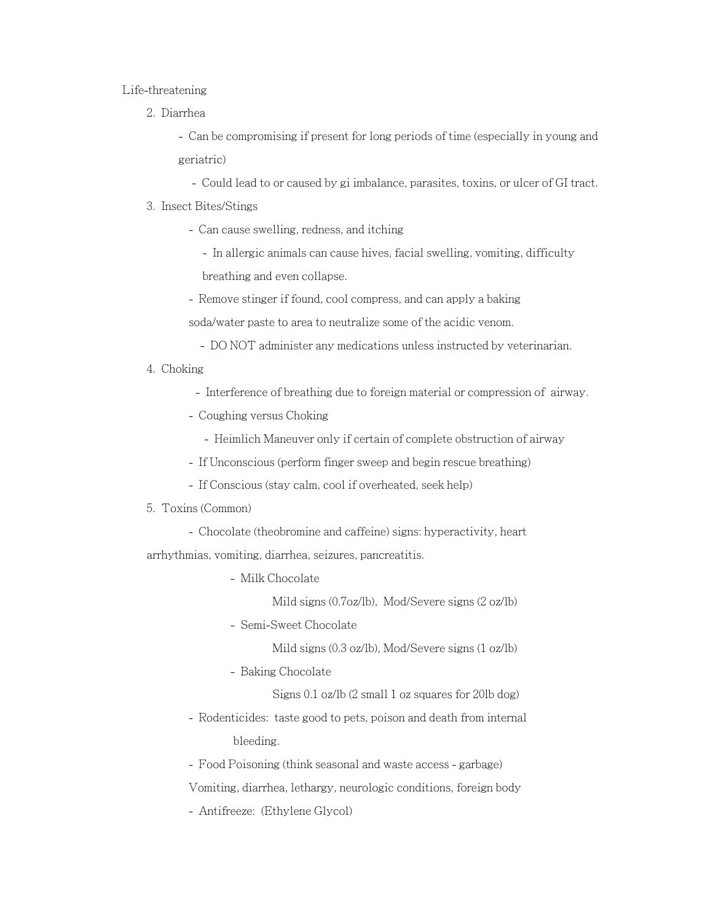#### Life-threatening

2. Diarrhea

- Can be compromising if present for long periods of time (especially in young and geriatric)

- Could lead to or caused by gi imbalance, parasites, toxins, or ulcer of GI tract.

### 3. Insect Bites/Stings

- Can cause swelling, redness, and itching
	- In allergic animals can cause hives, facial swelling, vomiting, difficulty breathing and even collapse.
- Remove stinger if found, cool compress, and can apply a baking
- soda/water paste to area to neutralize some of the acidic venom.
	- DO NOT administer any medications unless instructed by veterinarian.
- 4. Choking
	- Interference of breathing due to foreign material or compression of airway.
	- Coughing versus Choking
		- Heimlich Maneuver only if certain of complete obstruction of airway
	- If Unconscious (perform finger sweep and begin rescue breathing)
	- If Conscious (stay calm, cool if overheated, seek help)

### 5. Toxins (Common)

- Chocolate (theobromine and caffeine) signs: hyperactivity, heart arrhythmias, vomiting, diarrhea, seizures, pancreatitis.
	- Milk Chocolate
		- Mild signs (0.7oz/lb), Mod/Severe signs (2 oz/lb)
	- Semi-Sweet Chocolate

Mild signs (0.3 oz/lb), Mod/Severe signs (1 oz/lb)

- Baking Chocolate

Signs 0.1 oz/lb (2 small 1 oz squares for 20lb dog)

- Rodenticides: taste good to pets, poison and death from internal bleeding.
- Food Poisoning (think seasonal and waste access garbage)

Vomiting, diarrhea, lethargy, neurologic conditions, foreign body

- Antifreeze: (Ethylene Glycol)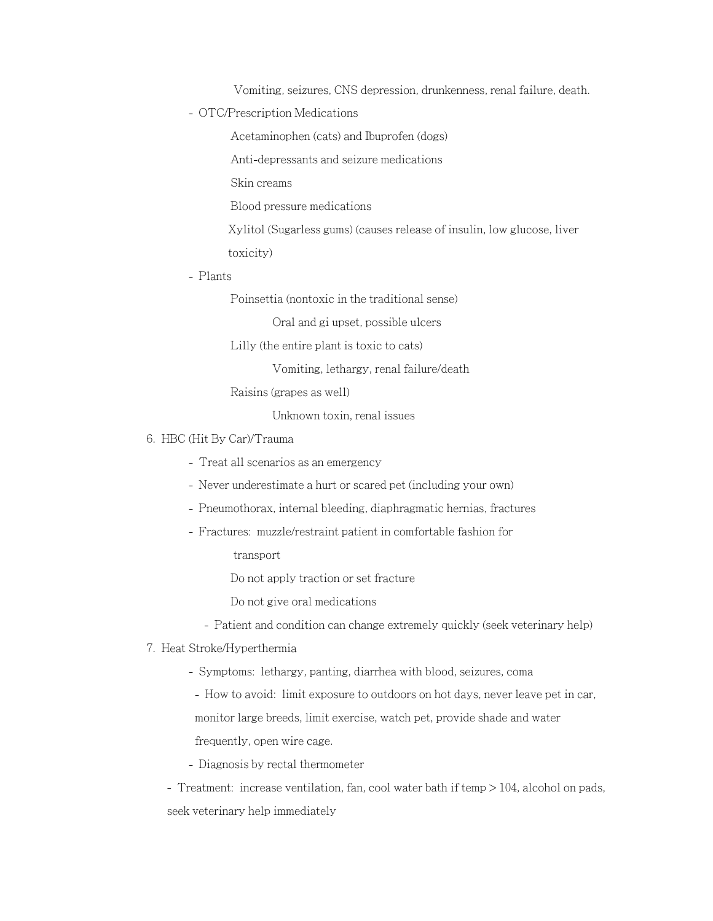Vomiting, seizures, CNS depression, drunkenness, renal failure, death.

- OTC/Prescription Medications

Acetaminophen (cats) and Ibuprofen (dogs)

Anti-depressants and seizure medications

Skin creams

Blood pressure medications

Xylitol (Sugarless gums) (causes release of insulin, low glucose, liver toxicity)

- Plants

Poinsettia (nontoxic in the traditional sense)

Oral and gi upset, possible ulcers

Lilly (the entire plant is toxic to cats)

Vomiting, lethargy, renal failure/death

Raisins (grapes as well)

Unknown toxin, renal issues

### 6. HBC (Hit By Car)/Trauma

- Treat all scenarios as an emergency

- Never underestimate a hurt or scared pet (including your own)
- Pneumothorax, internal bleeding, diaphragmatic hernias, fractures
- Fractures: muzzle/restraint patient in comfortable fashion for

transport

Do not apply traction or set fracture

Do not give oral medications

- Patient and condition can change extremely quickly (seek veterinary help)

### 7. Heat Stroke/Hyperthermia

- Symptoms: lethargy, panting, diarrhea with blood, seizures, coma

- How to avoid: limit exposure to outdoors on hot days, never leave pet in car, monitor large breeds, limit exercise, watch pet, provide shade and water frequently, open wire cage.

- Diagnosis by rectal thermometer

- Treatment: increase ventilation, fan, cool water bath if temp > 104, alcohol on pads, seek veterinary help immediately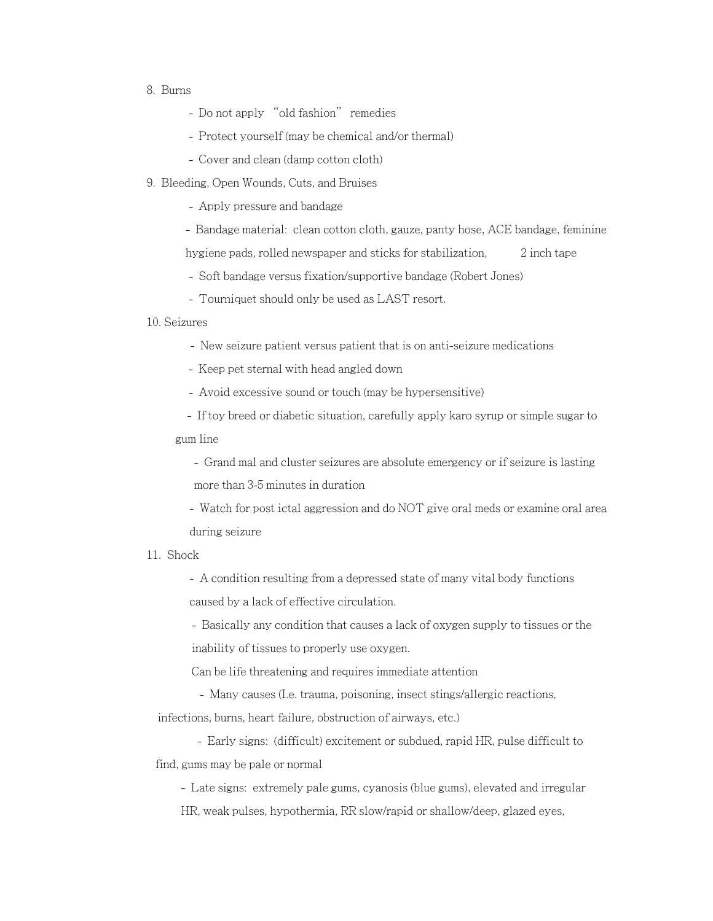## 8. Burns

- Do not apply "old fashion" remedies
- Protect yourself (may be chemical and/or thermal)
- Cover and clean (damp cotton cloth)
- 9. Bleeding, Open Wounds, Cuts, and Bruises

- Apply pressure and bandage

- Bandage material: clean cotton cloth, gauze, panty hose, ACE bandage, feminine
- hygiene pads, rolled newspaper and sticks for stabilization, 2 inch tape
- Soft bandage versus fixation/supportive bandage (Robert Jones)
- Tourniquet should only be used as LAST resort.
- 10. Seizures
	- New seizure patient versus patient that is on anti-seizure medications
	- Keep pet sternal with head angled down
	- Avoid excessive sound or touch (may be hypersensitive)

 - If toy breed or diabetic situation, carefully apply karo syrup or simple sugar to gum line

- Grand mal and cluster seizures are absolute emergency or if seizure is lasting more than 3-5 minutes in duration

- Watch for post ictal aggression and do NOT give oral meds or examine oral area during seizure

### 11. Shock

- A condition resulting from a depressed state of many vital body functions caused by a lack of effective circulation.

- Basically any condition that causes a lack of oxygen supply to tissues or the inability of tissues to properly use oxygen.

Can be life threatening and requires immediate attention

- Many causes (I.e. trauma, poisoning, insect stings/allergic reactions,

infections, burns, heart failure, obstruction of airways, etc.)

- Early signs: (difficult) excitement or subdued, rapid HR, pulse difficult to find, gums may be pale or normal

- Late signs: extremely pale gums, cyanosis (blue gums), elevated and irregular

HR, weak pulses, hypothermia, RR slow/rapid or shallow/deep, glazed eyes,